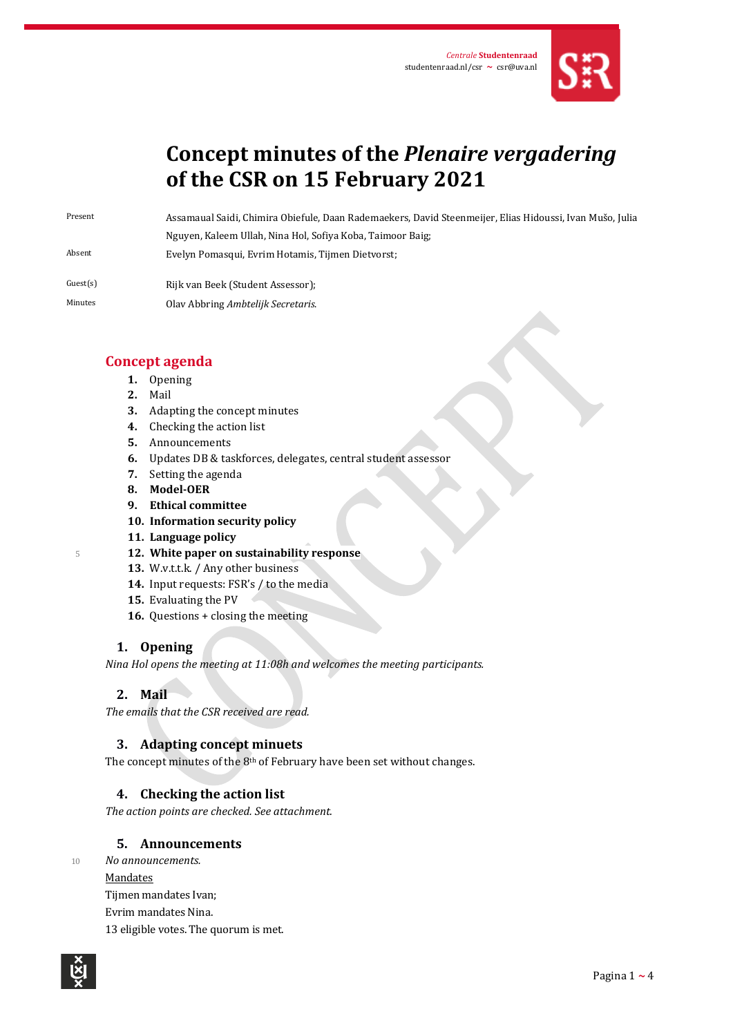

# **Concept minutes of the** *Plenaire vergadering* **of the CSR on 15 February 2021**

Present Assamaual Saidi, Chimira Obiefule, Daan Rademaekers, David Steenmeijer, Elias Hidoussi, Ivan Mušo, Julia Nguyen, Kaleem Ullah, Nina Hol, Sofiya Koba, Taimoor Baig; Absent Evelyn Pomasqui, Evrim Hotamis, Tijmen Dietvorst;

Guest(s) Rijk van Beek (Student Assessor);

Minutes Olav Abbring *Ambtelijk Secretaris*.

## **Concept agenda**

- **1.** Opening
- **2.** Mail
- **3.** Adapting the concept minutes
- **4.** Checking the action list
- **5.** Announcements
- **6.** Updates DB & taskforces, delegates, central student assessor
- **7.** Setting the agenda
- **8. Model-OER**
- **9. Ethical committee**
- **10. Information security policy**
- **11. Language policy**
- <sup>5</sup> **12. White paper on sustainability response**
	- 13. W.v.t.t.k. / Any other business
	- **14.** Input requests: FSR's / to the media
	- **15.** Evaluating the PV
	- **16.** Questions + closing the meeting

## **1. Opening**

*Nina Hol opens the meeting at 11:08h and welcomes the meeting participants.* 

## **2. Mail**

*The emails that the CSR received are read.*

## **3. Adapting concept minuets**

The concept minutes of the 8<sup>th</sup> of February have been set without changes.

## **4. Checking the action list**

*The action points are checked. See attachment.*

## **5. Announcements**

<sup>10</sup> *No announcements.* **Mandates** Tijmen mandates Ivan; Evrim mandates Nina.

13 eligible votes. The quorum is met.

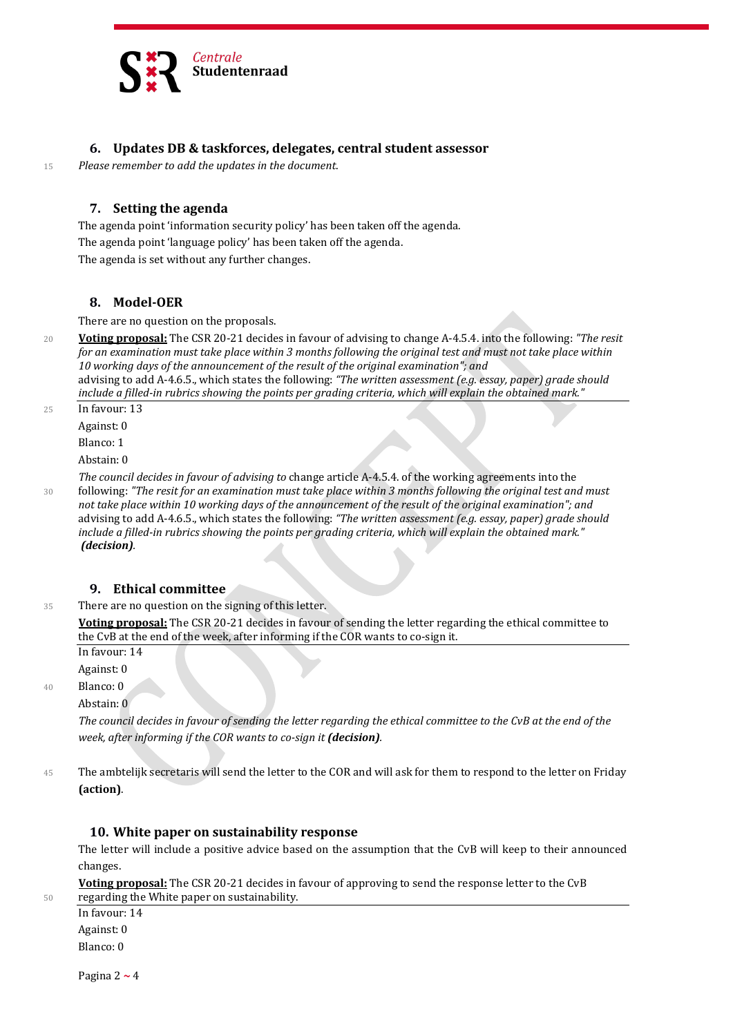

#### **6. Updates DB & taskforces, delegates, central student assessor**

<sup>15</sup> *Please remember to add the updates in the document*.

#### **7. Setting the agenda**

The agenda point 'information security policy' has been taken off the agenda. The agenda point 'language policy' has been taken off the agenda. The agenda is set without any further changes.

#### **8. Model-OER**

There are no question on the proposals.

<sup>20</sup> **Voting proposal:** The CSR 20-21 decides in favour of advising to change A-4.5.4. into the following: *"The resit for an examination must take place within 3 months following the original test and must not take place within 10 working days of the announcement of the result of the original examination"; and* advising to add A-4.6.5., which states the following: *"The written assessment (e.g. essay, paper) grade should include a filled-in rubrics showing the points per grading criteria, which will explain the obtained mark."*

25 In favour: 13

Against: 0

Blanco: 1

Abstain: 0

*The council decides in favour of advising to* change article A-4.5.4. of the working agreements into the <sup>30</sup> following: *"The resit for an examination must take place within 3 months following the original test and must not take place within 10 working days of the announcement of the result of the original examination"; and* advising to add A-4.6.5., which states the following: *"The written assessment (e.g. essay, paper) grade should include a filled-in rubrics showing the points per grading criteria, which will explain the obtained mark." (decision).*

#### **9. Ethical committee**

35 There are no question on the signing of this letter.

**Voting proposal:** The CSR 20-21 decides in favour of sending the letter regarding the ethical committee to the CvB at the end of the week, after informing if the COR wants to co-sign it.

In favour: 14

Against: 0

40 Blanco: 0

Abstain: 0

*The council decides in favour of sending the letter regarding the ethical committee to the CvB at the end of the week, after informing if the COR wants to co-sign it (decision).*

45 The ambtelijk secretaris will send the letter to the COR and will ask for them to respond to the letter on Friday **(action)**.

#### **10. White paper on sustainability response**

The letter will include a positive advice based on the assumption that the CvB will keep to their announced changes.

**Voting proposal:** The CSR 20-21 decides in favour of approving to send the response letter to the CvB 50 regarding the White paper on sustainability.

In favour: 14 Against: 0 Blanco: 0

Pagina 2 **~** 4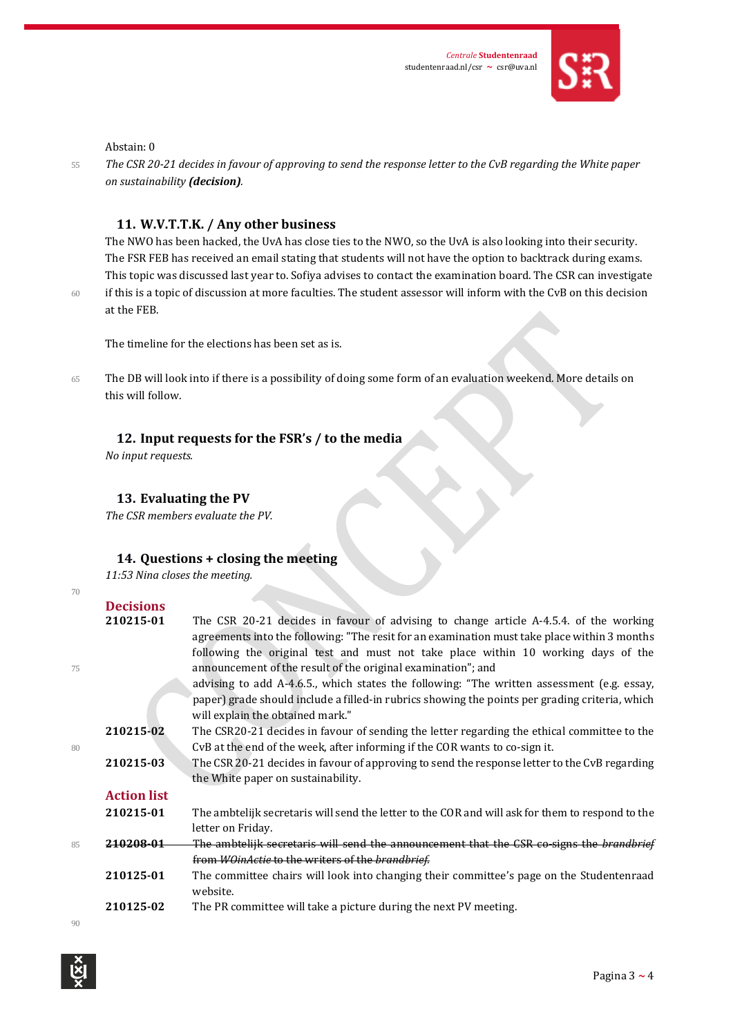

#### Abstain: 0

<sup>55</sup> *The CSR 20-21 decides in favour of approving to send the response letter to the CvB regarding the White paper on sustainability (decision).*

#### **11. W.V.T.T.K. / Any other business**

The NWO has been hacked, the UvA has close ties to the NWO, so the UvA is also looking into their security. The FSR FEB has received an email stating that students will not have the option to backtrack during exams. This topic was discussed last year to. Sofiya advises to contact the examination board. The CSR can investigate 60 if this is a topic of discussion at more faculties. The student assessor will inform with the CvB on this decision at the FEB.

The timeline for the elections has been set as is.

65 The DB will look into if there is a possibility of doing some form of an evaluation weekend. More details on this will follow.

#### **12. Input requests for the FSR's / to the media**

*No input requests.*

#### **13. Evaluating the PV**

*The CSR members evaluate the PV.*

#### **14. Questions + closing the meeting**

*11:53 Nina closes the meeting.*

| 70 |                    |                                                                                                                                                                                       |
|----|--------------------|---------------------------------------------------------------------------------------------------------------------------------------------------------------------------------------|
|    | <b>Decisions</b>   |                                                                                                                                                                                       |
|    | 210215-01          | The CSR 20-21 decides in favour of advising to change article A-4.5.4. of the working<br>agreements into the following: "The resit for an examination must take place within 3 months |
|    |                    | following the original test and must not take place within 10 working days of the                                                                                                     |
| 75 |                    | announcement of the result of the original examination"; and                                                                                                                          |
|    |                    | advising to add A-4.6.5., which states the following: "The written assessment (e.g. essay,                                                                                            |
|    |                    | paper) grade should include a filled-in rubrics showing the points per grading criteria, which<br>will explain the obtained mark."                                                    |
|    | 210215-02          | The CSR20-21 decides in favour of sending the letter regarding the ethical committee to the                                                                                           |
| 80 |                    | CvB at the end of the week, after informing if the COR wants to co-sign it.                                                                                                           |
|    | 210215-03          | The CSR 20-21 decides in favour of approving to send the response letter to the CvB regarding                                                                                         |
|    |                    | the White paper on sustainability.                                                                                                                                                    |
|    | <b>Action list</b> |                                                                                                                                                                                       |
|    | 210215-01          | The ambtelijk secretaris will send the letter to the COR and will ask for them to respond to the                                                                                      |
|    |                    | letter on Friday.                                                                                                                                                                     |
| 85 | 210208-01          | The ambtelijk secretaris will send the announcement that the CSR co-signs the brandbrief                                                                                              |
|    |                    | from WOinActie to the writers of the brandbrief.                                                                                                                                      |
|    | 210125-01          | The committee chairs will look into changing their committee's page on the Studentenraad<br>website.                                                                                  |
|    | 210125-02          | The PR committee will take a picture during the next PV meeting.                                                                                                                      |
| 90 |                    |                                                                                                                                                                                       |